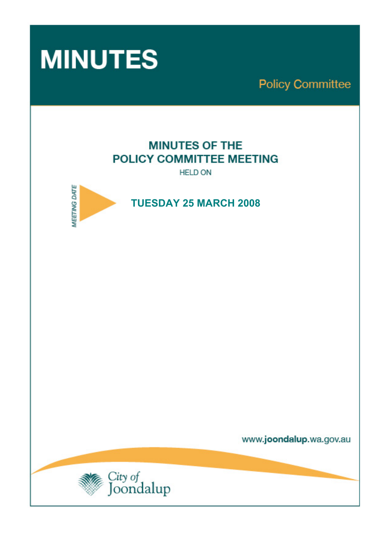

**Policy Committee** 

# **MINUTES OF THE POLICY COMMITTEE MEETING**

**HELD ON** 



 **TUESDAY 25 MARCH 2008** 

www.joondalup.wa.gov.au

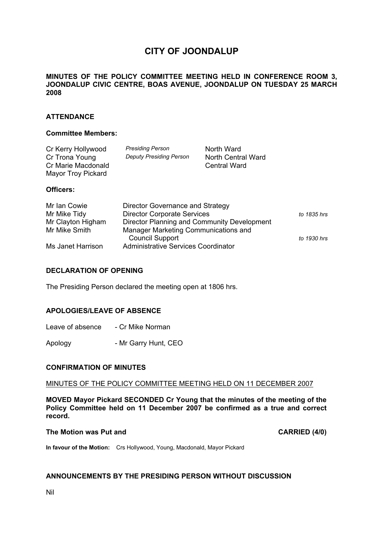# **CITY OF JOONDALUP**

# **MINUTES OF THE POLICY COMMITTEE MEETING HELD IN CONFERENCE ROOM 3, JOONDALUP CIVIC CENTRE, BOAS AVENUE, JOONDALUP ON TUESDAY 25 MARCH 2008**

# **ATTENDANCE**

#### **Committee Members:**

| Cr Kerry Hollywood<br>Cr Trona Young<br>Cr Marie Macdonald<br>Mayor Troy Pickard | <b>Presiding Person</b><br><b>Deputy Presiding Person</b> | North Ward<br>North Central Ward<br>Central Ward |
|----------------------------------------------------------------------------------|-----------------------------------------------------------|--------------------------------------------------|
| Officers:                                                                        |                                                           |                                                  |
| .                                                                                |                                                           | $\sim$                                           |

| Mr Ian Cowie      | Director Governance and Strategy            |             |
|-------------------|---------------------------------------------|-------------|
| Mr Mike Tidy      | <b>Director Corporate Services</b>          | to 1835 hrs |
| Mr Clayton Higham | Director Planning and Community Development |             |
| Mr Mike Smith     | Manager Marketing Communications and        |             |
|                   | <b>Council Support</b>                      | to 1930 hrs |
| Ms Janet Harrison | Administrative Services Coordinator         |             |

#### **DECLARATION OF OPENING**

The Presiding Person declared the meeting open at 1806 hrs.

#### **APOLOGIES/LEAVE OF ABSENCE**

| Leave of absence | - Cr Mike Norman |
|------------------|------------------|
|------------------|------------------|

Apology - Mr Garry Hunt, CEO

#### **CONFIRMATION OF MINUTES**

#### MINUTES OF THE POLICY COMMITTEE MEETING HELD ON 11 DECEMBER 2007

**MOVED Mayor Pickard SECONDED Cr Young that the minutes of the meeting of the Policy Committee held on 11 December 2007 be confirmed as a true and correct record.** 

#### **The Motion was Put and CARRIED (4/0) CARRIED (4/0)**

**In favour of the Motion:** Crs Hollywood, Young, Macdonald, Mayor Pickard

# **ANNOUNCEMENTS BY THE PRESIDING PERSON WITHOUT DISCUSSION**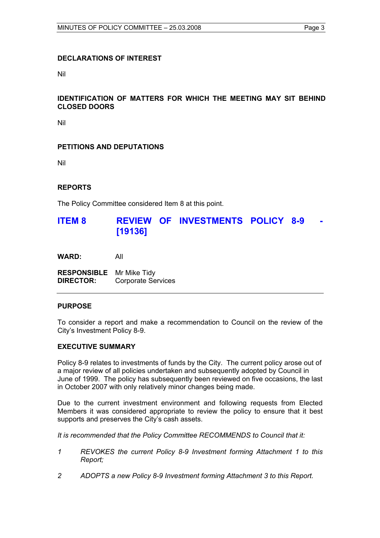# **DECLARATIONS OF INTEREST**

Nil

# **IDENTIFICATION OF MATTERS FOR WHICH THE MEETING MAY SIT BEHIND CLOSED DOORS**

Nil

# **PETITIONS AND DEPUTATIONS**

Nil

# **REPORTS**

The Policy Committee considered Item 8 at this point.

# **ITEM 8 REVIEW OF INVESTMENTS POLICY 8-9 [19136]**

**WARD:** All

**RESPONSIBLE** Mr Mike Tidy **DIRECTOR:** Corporate Services

## **PURPOSE**

To consider a report and make a recommendation to Council on the review of the City's Investment Policy 8-9.

#### **EXECUTIVE SUMMARY**

Policy 8-9 relates to investments of funds by the City. The current policy arose out of a major review of all policies undertaken and subsequently adopted by Council in June of 1999. The policy has subsequently been reviewed on five occasions, the last in October 2007 with only relatively minor changes being made.

Due to the current investment environment and following requests from Elected Members it was considered appropriate to review the policy to ensure that it best supports and preserves the City's cash assets.

*It is recommended that the Policy Committee RECOMMENDS to Council that it:* 

- *1 REVOKES the current Policy 8-9 Investment forming Attachment 1 to this Report;*
- *2 ADOPTS a new Policy 8-9 Investment forming Attachment 3 to this Report.*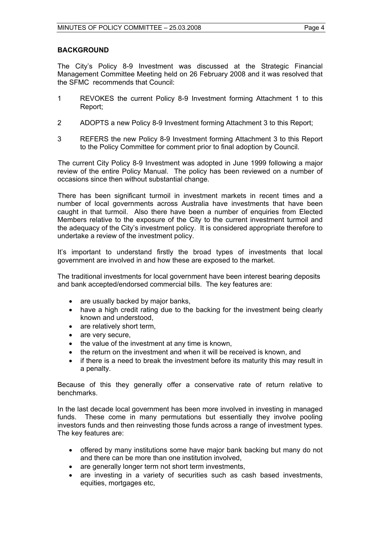The City's Policy 8-9 Investment was discussed at the Strategic Financial Management Committee Meeting held on 26 February 2008 and it was resolved that the SFMC recommends that Council:

- 1 REVOKES the current Policy 8-9 Investment forming Attachment 1 to this Report;
- 2 ADOPTS a new Policy 8-9 Investment forming Attachment 3 to this Report;
- 3 REFERS the new Policy 8-9 Investment forming Attachment 3 to this Report to the Policy Committee for comment prior to final adoption by Council.

The current City Policy 8-9 Investment was adopted in June 1999 following a major review of the entire Policy Manual. The policy has been reviewed on a number of occasions since then without substantial change.

There has been significant turmoil in investment markets in recent times and a number of local governments across Australia have investments that have been caught in that turmoil. Also there have been a number of enquiries from Elected Members relative to the exposure of the City to the current investment turmoil and the adequacy of the City's investment policy. It is considered appropriate therefore to undertake a review of the investment policy.

It's important to understand firstly the broad types of investments that local government are involved in and how these are exposed to the market.

The traditional investments for local government have been interest bearing deposits and bank accepted/endorsed commercial bills. The key features are:

- are usually backed by major banks,
- have a high credit rating due to the backing for the investment being clearly known and understood,
- are relatively short term.
- are very secure,
- the value of the investment at any time is known,
- the return on the investment and when it will be received is known, and
- if there is a need to break the investment before its maturity this may result in a penalty.

Because of this they generally offer a conservative rate of return relative to benchmarks.

In the last decade local government has been more involved in investing in managed funds. These come in many permutations but essentially they involve pooling investors funds and then reinvesting those funds across a range of investment types. The key features are:

- offered by many institutions some have major bank backing but many do not and there can be more than one institution involved,
- are generally longer term not short term investments,
- are investing in a variety of securities such as cash based investments, equities, mortgages etc,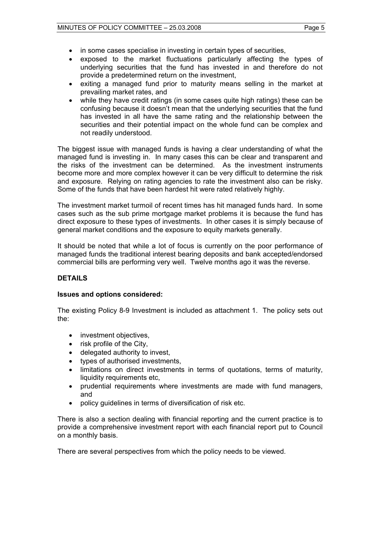- 
- in some cases specialise in investing in certain types of securities,
- exposed to the market fluctuations particularly affecting the types of underlying securities that the fund has invested in and therefore do not provide a predetermined return on the investment,
- exiting a managed fund prior to maturity means selling in the market at prevailing market rates, and
- while they have credit ratings (in some cases quite high ratings) these can be confusing because it doesn't mean that the underlying securities that the fund has invested in all have the same rating and the relationship between the securities and their potential impact on the whole fund can be complex and not readily understood.

The biggest issue with managed funds is having a clear understanding of what the managed fund is investing in. In many cases this can be clear and transparent and the risks of the investment can be determined. As the investment instruments become more and more complex however it can be very difficult to determine the risk and exposure. Relying on rating agencies to rate the investment also can be risky. Some of the funds that have been hardest hit were rated relatively highly.

The investment market turmoil of recent times has hit managed funds hard. In some cases such as the sub prime mortgage market problems it is because the fund has direct exposure to these types of investments. In other cases it is simply because of general market conditions and the exposure to equity markets generally.

It should be noted that while a lot of focus is currently on the poor performance of managed funds the traditional interest bearing deposits and bank accepted/endorsed commercial bills are performing very well. Twelve months ago it was the reverse.

# **DETAILS**

# **Issues and options considered:**

The existing Policy 8-9 Investment is included as attachment 1. The policy sets out the:

- investment objectives,
- risk profile of the City,
- delegated authority to invest,
- types of authorised investments,
- limitations on direct investments in terms of quotations, terms of maturity, liquidity requirements etc.
- prudential requirements where investments are made with fund managers, and
- policy guidelines in terms of diversification of risk etc.

There is also a section dealing with financial reporting and the current practice is to provide a comprehensive investment report with each financial report put to Council on a monthly basis.

There are several perspectives from which the policy needs to be viewed.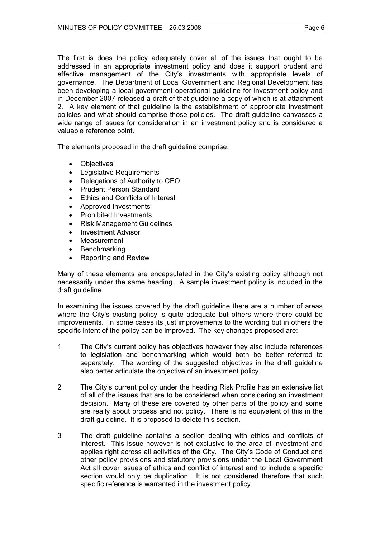The first is does the policy adequately cover all of the issues that ought to be addressed in an appropriate investment policy and does it support prudent and effective management of the City's investments with appropriate levels of governance. The Department of Local Government and Regional Development has been developing a local government operational guideline for investment policy and in December 2007 released a draft of that guideline a copy of which is at attachment 2. A key element of that guideline is the establishment of appropriate investment policies and what should comprise those policies. The draft guideline canvasses a wide range of issues for consideration in an investment policy and is considered a valuable reference point.

The elements proposed in the draft guideline comprise;

- Objectives
- Legislative Requirements
- Delegations of Authority to CEO
- Prudent Person Standard
- Ethics and Conflicts of Interest
- Approved Investments
- Prohibited Investments
- Risk Management Guidelines
- Investment Advisor
- **Measurement**
- **Benchmarking**
- Reporting and Review

Many of these elements are encapsulated in the City's existing policy although not necessarily under the same heading. A sample investment policy is included in the draft guideline.

In examining the issues covered by the draft guideline there are a number of areas where the City's existing policy is quite adequate but others where there could be improvements. In some cases its just improvements to the wording but in others the specific intent of the policy can be improved. The key changes proposed are:

- 1 The City's current policy has objectives however they also include references to legislation and benchmarking which would both be better referred to separately. The wording of the suggested objectives in the draft guideline also better articulate the objective of an investment policy.
- 2 The City's current policy under the heading Risk Profile has an extensive list of all of the issues that are to be considered when considering an investment decision. Many of these are covered by other parts of the policy and some are really about process and not policy. There is no equivalent of this in the draft guideline. It is proposed to delete this section.
- 3 The draft guideline contains a section dealing with ethics and conflicts of interest. This issue however is not exclusive to the area of investment and applies right across all activities of the City. The City's Code of Conduct and other policy provisions and statutory provisions under the Local Government Act all cover issues of ethics and conflict of interest and to include a specific section would only be duplication. It is not considered therefore that such specific reference is warranted in the investment policy.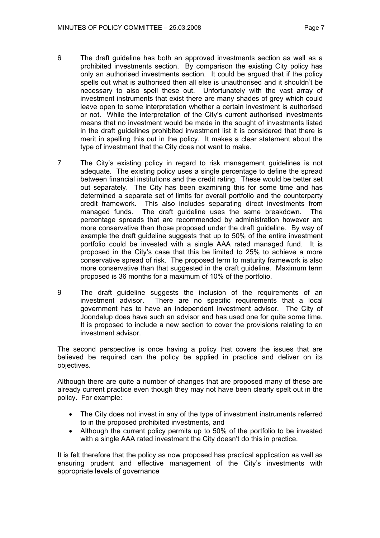- 6 The draft guideline has both an approved investments section as well as a prohibited investments section. By comparison the existing City policy has only an authorised investments section. It could be argued that if the policy spells out what is authorised then all else is unauthorised and it shouldn't be necessary to also spell these out. Unfortunately with the vast array of investment instruments that exist there are many shades of grey which could leave open to some interpretation whether a certain investment is authorised or not. While the interpretation of the City's current authorised investments means that no investment would be made in the sought of investments listed in the draft guidelines prohibited investment list it is considered that there is merit in spelling this out in the policy. It makes a clear statement about the type of investment that the City does not want to make.
- 7 The City's existing policy in regard to risk management guidelines is not adequate. The existing policy uses a single percentage to define the spread between financial institutions and the credit rating. These would be better set out separately. The City has been examining this for some time and has determined a separate set of limits for overall portfolio and the counterparty credit framework. This also includes separating direct investments from managed funds. The draft guideline uses the same breakdown. The percentage spreads that are recommended by administration however are more conservative than those proposed under the draft guideline. By way of example the draft guideline suggests that up to 50% of the entire investment portfolio could be invested with a single AAA rated managed fund. It is proposed in the City's case that this be limited to 25% to achieve a more conservative spread of risk. The proposed term to maturity framework is also more conservative than that suggested in the draft guideline. Maximum term proposed is 36 months for a maximum of 10% of the portfolio.
- 9 The draft guideline suggests the inclusion of the requirements of an investment advisor. There are no specific requirements that a local government has to have an independent investment advisor. The City of Joondalup does have such an advisor and has used one for quite some time. It is proposed to include a new section to cover the provisions relating to an investment advisor.

The second perspective is once having a policy that covers the issues that are believed be required can the policy be applied in practice and deliver on its objectives.

Although there are quite a number of changes that are proposed many of these are already current practice even though they may not have been clearly spelt out in the policy. For example:

- The City does not invest in any of the type of investment instruments referred to in the proposed prohibited investments, and
- Although the current policy permits up to 50% of the portfolio to be invested with a single AAA rated investment the City doesn't do this in practice.

It is felt therefore that the policy as now proposed has practical application as well as ensuring prudent and effective management of the City's investments with appropriate levels of governance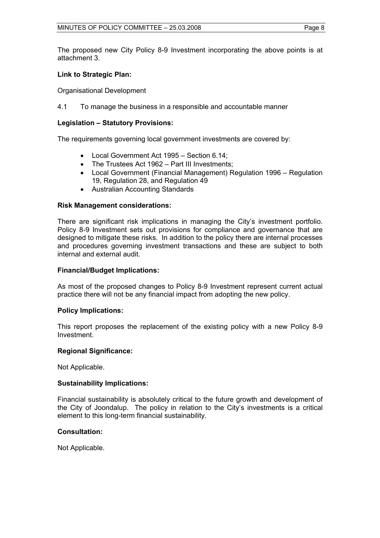The proposed new City Policy 8-9 Investment incorporating the above points is at attachment 3.

# **Link to Strategic Plan:**

Organisational Development

4.1 To manage the business in a responsible and accountable manner

# **Legislation – Statutory Provisions:**

The requirements governing local government investments are covered by:

- Local Government Act 1995 Section 6.14;
- The Trustees Act 1962 Part III Investments;
- Local Government (Financial Management) Regulation 1996 Regulation 19, Regulation 28, and Regulation 49
- Australian Accounting Standards

# **Risk Management considerations:**

There are significant risk implications in managing the City's investment portfolio. Policy 8-9 Investment sets out provisions for compliance and governance that are designed to mitigate these risks. In addition to the policy there are internal processes and procedures governing investment transactions and these are subject to both internal and external audit.

# **Financial/Budget Implications:**

As most of the proposed changes to Policy 8-9 Investment represent current actual practice there will not be any financial impact from adopting the new policy.

# **Policy Implications:**

This report proposes the replacement of the existing policy with a new Policy 8-9 Investment.

# **Regional Significance:**

Not Applicable.

# **Sustainability Implications:**

Financial sustainability is absolutely critical to the future growth and development of the City of Joondalup. The policy in relation to the City's investments is a critical element to this long-term financial sustainability.

# **Consultation:**

Not Applicable.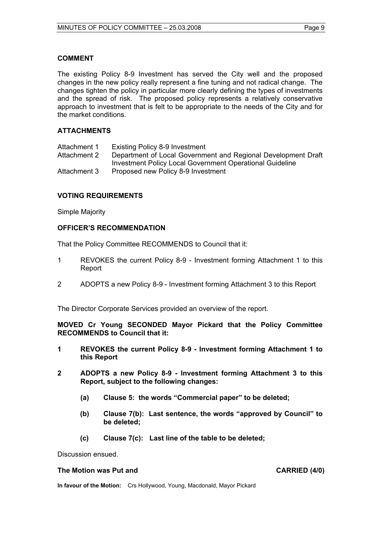### **COMMENT**

The existing Policy 8-9 Investment has served the City well and the proposed changes in the new policy really represent a fine tuning and not radical change. The changes tighten the policy in particular more clearly defining the types of investments and the spread of risk. The proposed policy represents a relatively conservative approach to investment that is felt to be appropriate to the needs of the City and for the market conditions.

# **ATTACHMENTS**

Attachment 1 Existing Policy 8-9 Investment Attachment 2 Department of Local Government and Regional Development Draft Investment Policy Local Government Operational Guideline Attachment 3 Proposed new Policy 8-9 Investment

### **VOTING REQUIREMENTS**

Simple Majority

### **OFFICER'S RECOMMENDATION**

That the Policy Committee RECOMMENDS to Council that it:

- 1 REVOKES the current Policy 8-9 Investment forming Attachment 1 to this Report
- 2 ADOPTS a new Policy 8-9 Investment forming Attachment 3 to this Report

The Director Corporate Services provided an overview of the report.

**MOVED Cr Young SECONDED Mayor Pickard that the Policy Committee RECOMMENDS to Council that it:** 

- **1 REVOKES the current Policy 8-9 Investment forming Attachment 1 to this Report**
- **2 ADOPTS a new Policy 8-9 Investment forming Attachment 3 to this Report, subject to the following changes:** 
	- **(a) Clause 5: the words "Commercial paper" to be deleted;**
	- **(b) Clause 7(b): Last sentence, the words "approved by Council" to be deleted;**
	- **(c) Clause 7(c): Last line of the table to be deleted;**

Discussion ensued.

#### The Motion was Put and **CARRIED** (4/0)

**In favour of the Motion:** Crs Hollywood, Young, Macdonald, Mayor Pickard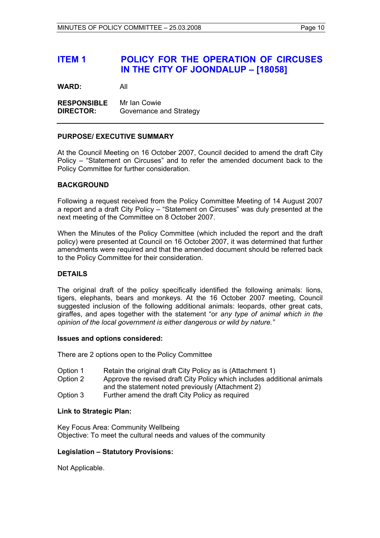# **ITEM 1 POLICY FOR THE OPERATION OF CIRCUSES IN THE CITY OF JOONDALUP – [18058]**

**WARD:** All

**RESPONSIBLE** Mr Ian Cowie **DIRECTOR:** Governance and Strategy

#### **PURPOSE/ EXECUTIVE SUMMARY**

At the Council Meeting on 16 October 2007, Council decided to amend the draft City Policy – "Statement on Circuses" and to refer the amended document back to the Policy Committee for further consideration.

#### **BACKGROUND**

Following a request received from the Policy Committee Meeting of 14 August 2007 a report and a draft City Policy – "Statement on Circuses" was duly presented at the next meeting of the Committee on 8 October 2007.

When the Minutes of the Policy Committee (which included the report and the draft policy) were presented at Council on 16 October 2007, it was determined that further amendments were required and that the amended document should be referred back to the Policy Committee for their consideration.

# **DETAILS**

The original draft of the policy specifically identified the following animals: lions, tigers, elephants, bears and monkeys. At the 16 October 2007 meeting, Council suggested inclusion of the following additional animals: leopards, other great cats, giraffes, and apes together with the statement "or *any type of animal which in the opinion of the local government is either dangerous or wild by nature."*

#### **Issues and options considered:**

There are 2 options open to the Policy Committee

- Option 1 Retain the original draft City Policy as is (Attachment 1)
- Option 2 Approve the revised draft City Policy which includes additional animals and the statement noted previously (Attachment 2)
- Option 3 Further amend the draft City Policy as required

#### **Link to Strategic Plan:**

Key Focus Area: Community Wellbeing Objective: To meet the cultural needs and values of the community

# **Legislation – Statutory Provisions:**

Not Applicable.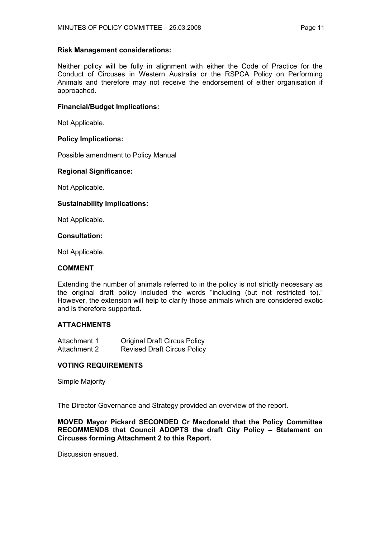#### **Risk Management considerations:**

Neither policy will be fully in alignment with either the Code of Practice for the Conduct of Circuses in Western Australia or the RSPCA Policy on Performing Animals and therefore may not receive the endorsement of either organisation if approached.

### **Financial/Budget Implications:**

Not Applicable.

## **Policy Implications:**

Possible amendment to Policy Manual

### **Regional Significance:**

Not Applicable.

### **Sustainability Implications:**

Not Applicable.

## **Consultation:**

Not Applicable.

### **COMMENT**

Extending the number of animals referred to in the policy is not strictly necessary as the original draft policy included the words "including (but not restricted to)." However, the extension will help to clarify those animals which are considered exotic and is therefore supported.

# **ATTACHMENTS**

| Attachment 1 | <b>Original Draft Circus Policy</b> |
|--------------|-------------------------------------|
| Attachment 2 | <b>Revised Draft Circus Policy</b>  |

#### **VOTING REQUIREMENTS**

Simple Majority

The Director Governance and Strategy provided an overview of the report.

**MOVED Mayor Pickard SECONDED Cr Macdonald that the Policy Committee RECOMMENDS that Council ADOPTS the draft City Policy – Statement on Circuses forming Attachment 2 to this Report.** 

Discussion ensued.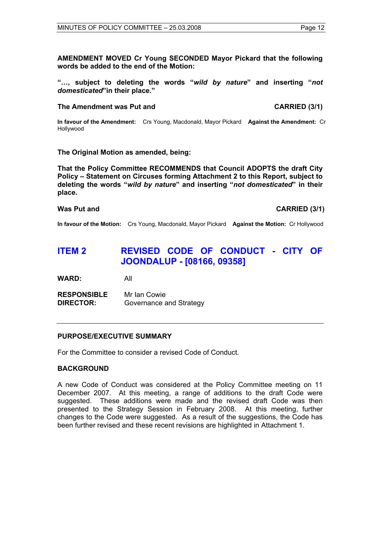**AMENDMENT MOVED Cr Young SECONDED Mayor Pickard that the following words be added to the end of the Motion:** 

**"…, subject to deleting the words "***wild by nature***" and inserting "***not domesticated***"in their place."** 

#### The Amendment was Put and **CARRIED** (3/1)

**In favour of the Amendment:** Crs Young, Macdonald, Mayor Pickard **Against the Amendment:** Cr Hollywood

### **The Original Motion as amended, being:**

**That the Policy Committee RECOMMENDS that Council ADOPTS the draft City Policy – Statement on Circuses forming Attachment 2 to this Report, subject to deleting the words "***wild by nature***" and inserting "***not domesticated***" in their place.** 

Was Put and **CARRIED** (3/1)

**In favour of the Motion:** Crs Young, Macdonald, Mayor Pickard **Against the Motion:** Cr Hollywood

# **ITEM 2 REVISED CODE OF CONDUCT - CITY OF JOONDALUP - [08166, 09358]**

**WARD:** All

**RESPONSIBLE** Mr Ian Cowie **DIRECTOR:** Governance and Strategy

#### **PURPOSE/EXECUTIVE SUMMARY**

For the Committee to consider a revised Code of Conduct.

## **BACKGROUND**

A new Code of Conduct was considered at the Policy Committee meeting on 11 December 2007. At this meeting, a range of additions to the draft Code were suggested. These additions were made and the revised draft Code was then presented to the Strategy Session in February 2008. At this meeting, further changes to the Code were suggested. As a result of the suggestions, the Code has been further revised and these recent revisions are highlighted in Attachment 1.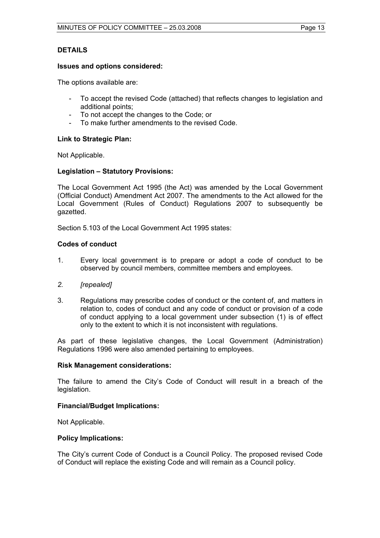# **DETAILS**

#### **Issues and options considered:**

The options available are:

- To accept the revised Code (attached) that reflects changes to legislation and additional points;
- To not accept the changes to the Code; or
- To make further amendments to the revised Code.

### **Link to Strategic Plan:**

Not Applicable.

### **Legislation – Statutory Provisions:**

The Local Government Act 1995 (the Act) was amended by the Local Government (Official Conduct) Amendment Act 2007. The amendments to the Act allowed for the Local Government (Rules of Conduct) Regulations 2007 to subsequently be gazetted.

Section 5.103 of the Local Government Act 1995 states:

### **Codes of conduct**

- 1. Every local government is to prepare or adopt a code of conduct to be observed by council members, committee members and employees.
- *2. [repealed]*
- 3. Regulations may prescribe codes of conduct or the content of, and matters in relation to, codes of conduct and any code of conduct or provision of a code of conduct applying to a local government under subsection (1) is of effect only to the extent to which it is not inconsistent with regulations.

As part of these legislative changes, the Local Government (Administration) Regulations 1996 were also amended pertaining to employees.

#### **Risk Management considerations:**

The failure to amend the City's Code of Conduct will result in a breach of the legislation.

#### **Financial/Budget Implications:**

Not Applicable.

#### **Policy Implications:**

The City's current Code of Conduct is a Council Policy. The proposed revised Code of Conduct will replace the existing Code and will remain as a Council policy.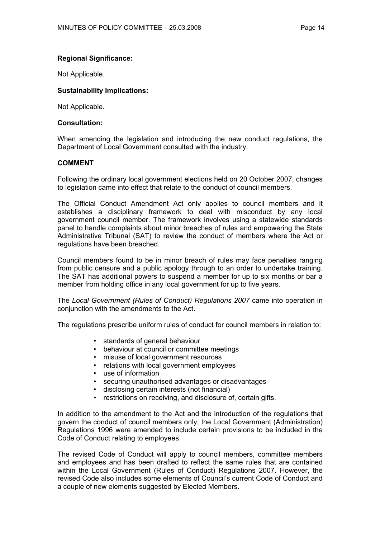# **Regional Significance:**

Not Applicable.

# **Sustainability Implications:**

Not Applicable.

### **Consultation:**

When amending the legislation and introducing the new conduct regulations, the Department of Local Government consulted with the industry.

# **COMMENT**

Following the ordinary local government elections held on 20 October 2007, changes to legislation came into effect that relate to the conduct of council members.

The Official Conduct Amendment Act only applies to council members and it establishes a disciplinary framework to deal with misconduct by any local government council member. The framework involves using a statewide standards panel to handle complaints about minor breaches of rules and empowering the State Administrative Tribunal (SAT) to review the conduct of members where the Act or regulations have been breached.

Council members found to be in minor breach of rules may face penalties ranging from public censure and a public apology through to an order to undertake training. The SAT has additional powers to suspend a member for up to six months or bar a member from holding office in any local government for up to five years.

The *Local Government (Rules of Conduct) Regulations 2007* came into operation in conjunction with the amendments to the Act.

The regulations prescribe uniform rules of conduct for council members in relation to:

- standards of general behaviour
- behaviour at council or committee meetings
- misuse of local government resources
- relations with local government employees
- 
- use of information<br>• securing unauthor • securing unauthorised advantages or disadvantages
- disclosing certain interests (not financial)
- restrictions on receiving, and disclosure of, certain gifts.

In addition to the amendment to the Act and the introduction of the regulations that govern the conduct of council members only, the Local Government (Administration) Regulations 1996 were amended to include certain provisions to be included in the Code of Conduct relating to employees.

The revised Code of Conduct will apply to council members, committee members and employees and has been drafted to reflect the same rules that are contained within the Local Government (Rules of Conduct) Regulations 2007. However, the revised Code also includes some elements of Council's current Code of Conduct and a couple of new elements suggested by Elected Members.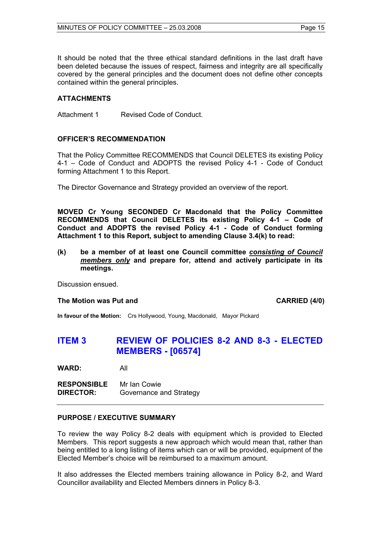It should be noted that the three ethical standard definitions in the last draft have been deleted because the issues of respect, fairness and integrity are all specifically covered by the general principles and the document does not define other concepts contained within the general principles.

# **ATTACHMENTS**

Attachment 1 Revised Code of Conduct.

# **OFFICER'S RECOMMENDATION**

That the Policy Committee RECOMMENDS that Council DELETES its existing Policy 4-1 – Code of Conduct and ADOPTS the revised Policy 4-1 - Code of Conduct forming Attachment 1 to this Report.

The Director Governance and Strategy provided an overview of the report.

**MOVED Cr Young SECONDED Cr Macdonald that the Policy Committee RECOMMENDS that Council DELETES its existing Policy 4-1 – Code of Conduct and ADOPTS the revised Policy 4-1 - Code of Conduct forming Attachment 1 to this Report, subject to amending Clause 3.4(k) to read:** 

**(k) be a member of at least one Council committee** *consisting of Council members only* **and prepare for, attend and actively participate in its meetings.** 

Discussion ensued.

#### **The Motion was Put and CARRIED (4/0) CARRIED (4/0)**

**In favour of the Motion:** Crs Hollywood, Young, Macdonald, Mayor Pickard

# **ITEM 3 REVIEW OF POLICIES 8-2 AND 8-3 - ELECTED MEMBERS - [06574]**

**WARD:** All

**RESPONSIBLE** Mr Ian Cowie **DIRECTOR:** Governance and Strategy

# **PURPOSE / EXECUTIVE SUMMARY**

To review the way Policy 8-2 deals with equipment which is provided to Elected Members. This report suggests a new approach which would mean that, rather than being entitled to a long listing of items which can or will be provided, equipment of the Elected Member's choice will be reimbursed to a maximum amount.

It also addresses the Elected members training allowance in Policy 8-2, and Ward Councillor availability and Elected Members dinners in Policy 8-3.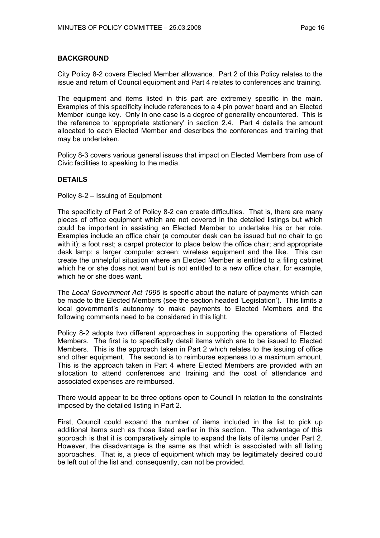# **BACKGROUND**

City Policy 8-2 covers Elected Member allowance. Part 2 of this Policy relates to the issue and return of Council equipment and Part 4 relates to conferences and training.

The equipment and items listed in this part are extremely specific in the main. Examples of this specificity include references to a 4 pin power board and an Elected Member lounge key. Only in one case is a degree of generality encountered. This is the reference to 'appropriate stationery' in section 2.4. Part 4 details the amount allocated to each Elected Member and describes the conferences and training that may be undertaken.

Policy 8-3 covers various general issues that impact on Elected Members from use of Civic facilities to speaking to the media.

### **DETAILS**

#### Policy 8-2 – Issuing of Equipment

The specificity of Part 2 of Policy 8-2 can create difficulties. That is, there are many pieces of office equipment which are not covered in the detailed listings but which could be important in assisting an Elected Member to undertake his or her role. Examples include an office chair (a computer desk can be issued but no chair to go with it); a foot rest; a carpet protector to place below the office chair; and appropriate desk lamp; a larger computer screen; wireless equipment and the like. This can create the unhelpful situation where an Elected Member is entitled to a filing cabinet which he or she does not want but is not entitled to a new office chair, for example, which he or she does want.

The *Local Government Act 1995* is specific about the nature of payments which can be made to the Elected Members (see the section headed 'Legislation'). This limits a local government's autonomy to make payments to Elected Members and the following comments need to be considered in this light.

Policy 8-2 adopts two different approaches in supporting the operations of Elected Members. The first is to specifically detail items which are to be issued to Elected Members. This is the approach taken in Part 2 which relates to the issuing of office and other equipment. The second is to reimburse expenses to a maximum amount. This is the approach taken in Part 4 where Elected Members are provided with an allocation to attend conferences and training and the cost of attendance and associated expenses are reimbursed.

There would appear to be three options open to Council in relation to the constraints imposed by the detailed listing in Part 2.

First, Council could expand the number of items included in the list to pick up additional items such as those listed earlier in this section. The advantage of this approach is that it is comparatively simple to expand the lists of items under Part 2. However, the disadvantage is the same as that which is associated with all listing approaches. That is, a piece of equipment which may be legitimately desired could be left out of the list and, consequently, can not be provided.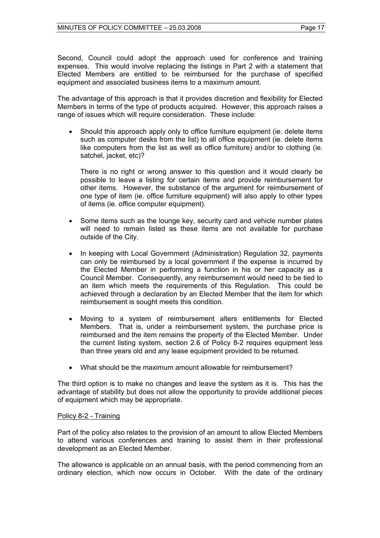Second, Council could adopt the approach used for conference and training expenses. This would involve replacing the listings in Part 2 with a statement that Elected Members are entitled to be reimbursed for the purchase of specified equipment and associated business items to a maximum amount.

The advantage of this approach is that it provides discretion and flexibility for Elected Members in terms of the type of products acquired. However, this approach raises a range of issues which will require consideration. These include:

• Should this approach apply only to office furniture equipment (ie. delete items such as computer desks from the list) to all office equipment (ie. delete items like computers from the list as well as office furniture) and/or to clothing (ie. satchel, jacket, etc)?

There is no right or wrong answer to this question and it would clearly be possible to leave a listing for certain items and provide reimbursement for other items. However, the substance of the argument for reimbursement of one type of item (ie. office furniture equipment) will also apply to other types of items (ie. office computer equipment).

- Some items such as the lounge key, security card and vehicle number plates will need to remain listed as these items are not available for purchase outside of the City.
- In keeping with Local Government (Administration) Regulation 32, payments can only be reimbursed by a local government if the expense is incurred by the Elected Member in performing a function in his or her capacity as a Council Member. Consequently, any reimbursement would need to be tied to an item which meets the requirements of this Regulation. This could be achieved through a declaration by an Elected Member that the item for which reimbursement is sought meets this condition.
- Moving to a system of reimbursement alters entitlements for Elected Members. That is, under a reimbursement system, the purchase price is reimbursed and the item remains the property of the Elected Member. Under the current listing system, section 2.6 of Policy 8-2 requires equipment less than three years old and any lease equipment provided to be returned.
- What should be the maximum amount allowable for reimbursement?

The third option is to make no changes and leave the system as it is. This has the advantage of stability but does not allow the opportunity to provide additional pieces of equipment which may be appropriate.

# Policy 8-2 - Training

Part of the policy also relates to the provision of an amount to allow Elected Members to attend various conferences and training to assist them in their professional development as an Elected Member.

The allowance is applicable on an annual basis, with the period commencing from an ordinary election, which now occurs in October. With the date of the ordinary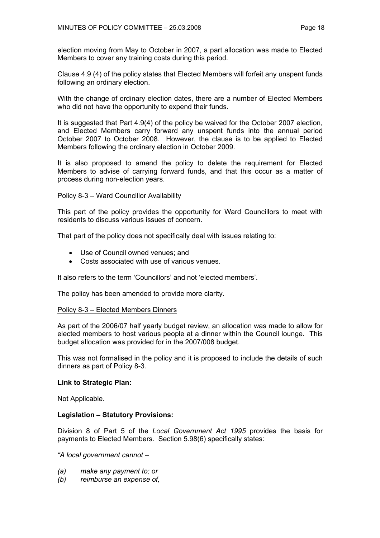election moving from May to October in 2007, a part allocation was made to Elected Members to cover any training costs during this period.

Clause 4.9 (4) of the policy states that Elected Members will forfeit any unspent funds following an ordinary election.

With the change of ordinary election dates, there are a number of Elected Members who did not have the opportunity to expend their funds.

It is suggested that Part 4.9(4) of the policy be waived for the October 2007 election, and Elected Members carry forward any unspent funds into the annual period October 2007 to October 2008. However, the clause is to be applied to Elected Members following the ordinary election in October 2009.

It is also proposed to amend the policy to delete the requirement for Elected Members to advise of carrying forward funds, and that this occur as a matter of process during non-election years.

#### Policy 8-3 – Ward Councillor Availability

This part of the policy provides the opportunity for Ward Councillors to meet with residents to discuss various issues of concern.

That part of the policy does not specifically deal with issues relating to:

- Use of Council owned venues; and
- Costs associated with use of various venues.

It also refers to the term 'Councillors' and not 'elected members'.

The policy has been amended to provide more clarity.

#### Policy 8-3 – Elected Members Dinners

As part of the 2006/07 half yearly budget review, an allocation was made to allow for elected members to host various people at a dinner within the Council lounge. This budget allocation was provided for in the 2007/008 budget.

This was not formalised in the policy and it is proposed to include the details of such dinners as part of Policy 8-3.

#### **Link to Strategic Plan:**

Not Applicable.

#### **Legislation – Statutory Provisions:**

Division 8 of Part 5 of the *Local Government Act 1995* provides the basis for payments to Elected Members. Section 5.98(6) specifically states:

*"A local government cannot –* 

- *(a) make any payment to; or*
- *(b) reimburse an expense of,*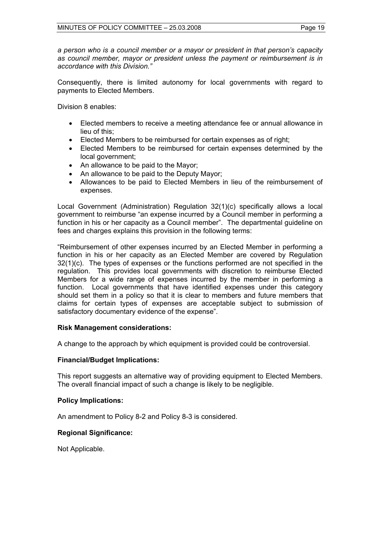*a person who is a council member or a mayor or president in that person's capacity as council member, mayor or president unless the payment or reimbursement is in accordance with this Division."* 

Consequently, there is limited autonomy for local governments with regard to payments to Elected Members.

Division 8 enables:

- Elected members to receive a meeting attendance fee or annual allowance in lieu of this;
- Elected Members to be reimbursed for certain expenses as of right;
- Elected Members to be reimbursed for certain expenses determined by the local government;
- An allowance to be paid to the Mayor;
- An allowance to be paid to the Deputy Mayor;
- Allowances to be paid to Elected Members in lieu of the reimbursement of expenses.

Local Government (Administration) Regulation 32(1)(c) specifically allows a local government to reimburse "an expense incurred by a Council member in performing a function in his or her capacity as a Council member". The departmental guideline on fees and charges explains this provision in the following terms:

"Reimbursement of other expenses incurred by an Elected Member in performing a function in his or her capacity as an Elected Member are covered by Regulation 32(1)(c). The types of expenses or the functions performed are not specified in the regulation. This provides local governments with discretion to reimburse Elected Members for a wide range of expenses incurred by the member in performing a function. Local governments that have identified expenses under this category should set them in a policy so that it is clear to members and future members that claims for certain types of expenses are acceptable subject to submission of satisfactory documentary evidence of the expense".

# **Risk Management considerations:**

A change to the approach by which equipment is provided could be controversial.

# **Financial/Budget Implications:**

This report suggests an alternative way of providing equipment to Elected Members. The overall financial impact of such a change is likely to be negligible.

# **Policy Implications:**

An amendment to Policy 8-2 and Policy 8-3 is considered.

# **Regional Significance:**

Not Applicable.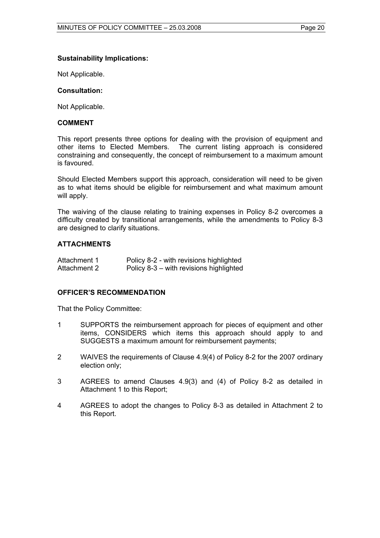# **Sustainability Implications:**

Not Applicable.

#### **Consultation:**

Not Applicable.

#### **COMMENT**

This report presents three options for dealing with the provision of equipment and other items to Elected Members. The current listing approach is considered constraining and consequently, the concept of reimbursement to a maximum amount is favoured.

Should Elected Members support this approach, consideration will need to be given as to what items should be eligible for reimbursement and what maximum amount will apply.

The waiving of the clause relating to training expenses in Policy 8-2 overcomes a difficulty created by transitional arrangements, while the amendments to Policy 8-3 are designed to clarify situations.

### **ATTACHMENTS**

| Attachment 1 | Policy 8-2 - with revisions highlighted |
|--------------|-----------------------------------------|
| Attachment 2 | Policy 8-3 – with revisions highlighted |

#### **OFFICER'S RECOMMENDATION**

That the Policy Committee:

- 1 SUPPORTS the reimbursement approach for pieces of equipment and other items, CONSIDERS which items this approach should apply to and SUGGESTS a maximum amount for reimbursement payments;
- 2 WAIVES the requirements of Clause 4.9(4) of Policy 8-2 for the 2007 ordinary election only;
- 3 AGREES to amend Clauses 4.9(3) and (4) of Policy 8-2 as detailed in Attachment 1 to this Report;
- 4 AGREES to adopt the changes to Policy 8-3 as detailed in Attachment 2 to this Report.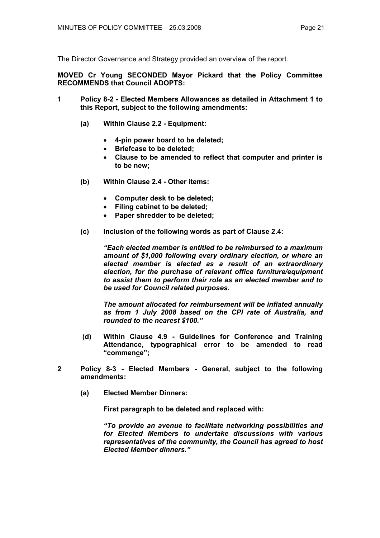The Director Governance and Strategy provided an overview of the report.

**MOVED Cr Young SECONDED Mayor Pickard that the Policy Committee RECOMMENDS that Council ADOPTS:** 

- **1 Policy 8-2 Elected Members Allowances as detailed in Attachment 1 to this Report, subject to the following amendments:** 
	- **(a) Within Clause 2.2 Equipment:** 
		- **4-pin power board to be deleted;**
		- **Briefcase to be deleted;**
		- **Clause to be amended to reflect that computer and printer is to be new;**
	- **(b) Within Clause 2.4 Other items:** 
		- **Computer desk to be deleted;**
		- **Filing cabinet to be deleted;**
		- **Paper shredder to be deleted;**
	- **(c) Inclusion of the following words as part of Clause 2.4:**

 *"Each elected member is entitled to be reimbursed to a maximum amount of \$1,000 following every ordinary election, or where an elected member is elected as a result of an extraordinary election, for the purchase of relevant office furniture/equipment to assist them to perform their role as an elected member and to be used for Council related purposes.* 

*The amount allocated for reimbursement will be inflated annually as from 1 July 2008 based on the CPI rate of Australia, and rounded to the nearest \$100."* 

- **(d) Within Clause 4.9 Guidelines for Conference and Training Attendance, typographical error to be amended to read "commence";**
- **2 Policy 8-3 Elected Members General, subject to the following amendments:** 
	- **(a) Elected Member Dinners:**

**First paragraph to be deleted and replaced with:** 

 *"To provide an avenue to facilitate networking possibilities and for Elected Members to undertake discussions with various representatives of the community, the Council has agreed to host Elected Member dinners."*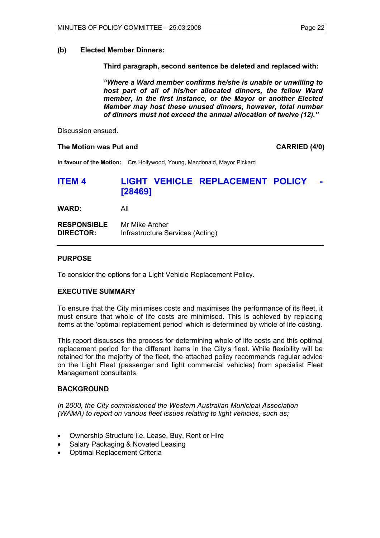#### **(b) Elected Member Dinners:**

 **Third paragraph, second sentence be deleted and replaced with:** 

*"Where a Ward member confirms he/she is unable or unwilling to host part of all of his/her allocated dinners, the fellow Ward member, in the first instance, or the Mayor or another Elected Member may host these unused dinners, however, total number of dinners must not exceed the annual allocation of twelve (12)."* 

Discussion ensued.

#### **The Motion was Put and CARRIED (4/0) CARRIED (4/0)**

**In favour of the Motion:** Crs Hollywood, Young, Macdonald, Mayor Pickard

# **ITEM 4 LIGHT VEHICLE REPLACEMENT POLICY [28469]**

**WARD:** All

| <b>RESPONSIBLE</b> | Mr Mike Archer                   |
|--------------------|----------------------------------|
| <b>DIRECTOR:</b>   | Infrastructure Services (Acting) |

### **PURPOSE**

To consider the options for a Light Vehicle Replacement Policy.

#### **EXECUTIVE SUMMARY**

To ensure that the City minimises costs and maximises the performance of its fleet, it must ensure that whole of life costs are minimised. This is achieved by replacing items at the 'optimal replacement period' which is determined by whole of life costing.

This report discusses the process for determining whole of life costs and this optimal replacement period for the different items in the City's fleet. While flexibility will be retained for the majority of the fleet, the attached policy recommends regular advice on the Light Fleet (passenger and light commercial vehicles) from specialist Fleet Management consultants.

#### **BACKGROUND**

*In 2000, the City commissioned the Western Australian Municipal Association (WAMA) to report on various fleet issues relating to light vehicles, such as;* 

- Ownership Structure i.e. Lease, Buy, Rent or Hire
- Salary Packaging & Novated Leasing
- Optimal Replacement Criteria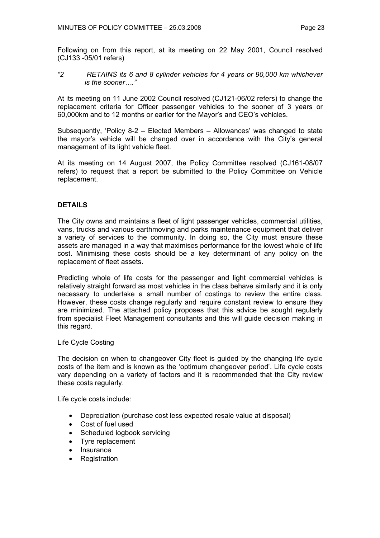Following on from this report, at its meeting on 22 May 2001, Council resolved (CJ133 -05/01 refers)

*"2 RETAINS its 6 and 8 cylinder vehicles for 4 years or 90,000 km whichever is the sooner…."*

At its meeting on 11 June 2002 Council resolved (CJ121-06/02 refers) to change the replacement criteria for Officer passenger vehicles to the sooner of 3 years or 60,000km and to 12 months or earlier for the Mayor's and CEO's vehicles.

Subsequently, 'Policy 8-2 – Elected Members – Allowances' was changed to state the mayor's vehicle will be changed over in accordance with the City's general management of its light vehicle fleet.

At its meeting on 14 August 2007, the Policy Committee resolved (CJ161-08/07 refers) to request that a report be submitted to the Policy Committee on Vehicle replacement.

### **DETAILS**

The City owns and maintains a fleet of light passenger vehicles, commercial utilities, vans, trucks and various earthmoving and parks maintenance equipment that deliver a variety of services to the community. In doing so, the City must ensure these assets are managed in a way that maximises performance for the lowest whole of life cost. Minimising these costs should be a key determinant of any policy on the replacement of fleet assets.

Predicting whole of life costs for the passenger and light commercial vehicles is relatively straight forward as most vehicles in the class behave similarly and it is only necessary to undertake a small number of costings to review the entire class. However, these costs change regularly and require constant review to ensure they are minimized. The attached policy proposes that this advice be sought regularly from specialist Fleet Management consultants and this will guide decision making in this regard.

#### Life Cycle Costing

The decision on when to changeover City fleet is guided by the changing life cycle costs of the item and is known as the 'optimum changeover period'. Life cycle costs vary depending on a variety of factors and it is recommended that the City review these costs regularly.

Life cycle costs include:

- Depreciation (purchase cost less expected resale value at disposal)
- Cost of fuel used
- Scheduled logbook servicing
- Tyre replacement
- **Insurance**
- **Registration**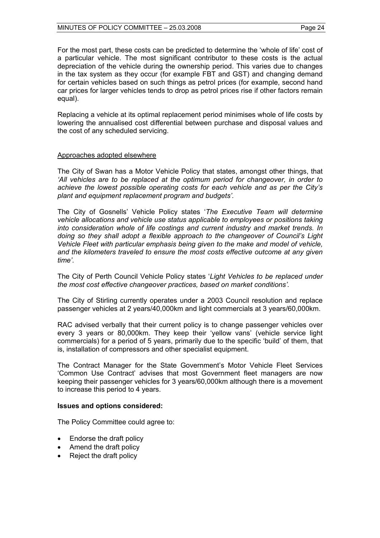For the most part, these costs can be predicted to determine the 'whole of life' cost of a particular vehicle. The most significant contributor to these costs is the actual depreciation of the vehicle during the ownership period. This varies due to changes in the tax system as they occur (for example FBT and GST) and changing demand for certain vehicles based on such things as petrol prices (for example, second hand car prices for larger vehicles tends to drop as petrol prices rise if other factors remain equal).

Replacing a vehicle at its optimal replacement period minimises whole of life costs by lowering the annualised cost differential between purchase and disposal values and the cost of any scheduled servicing.

#### Approaches adopted elsewhere

The City of Swan has a Motor Vehicle Policy that states, amongst other things, that *'All vehicles are to be replaced at the optimum period for changeover, in order to achieve the lowest possible operating costs for each vehicle and as per the City's plant and equipment replacement program and budgets'.* 

The City of Gosnells' Vehicle Policy states '*The Executive Team will determine vehicle allocations and vehicle use status applicable to employees or positions taking into consideration whole of life costings and current industry and market trends. In doing so they shall adopt a flexible approach to the changeover of Council's Light Vehicle Fleet with particular emphasis being given to the make and model of vehicle, and the kilometers traveled to ensure the most costs effective outcome at any given time'.* 

The City of Perth Council Vehicle Policy states '*Light Vehicles to be replaced under the most cost effective changeover practices, based on market conditions'.* 

The City of Stirling currently operates under a 2003 Council resolution and replace passenger vehicles at 2 years/40,000km and light commercials at 3 years/60,000km.

RAC advised verbally that their current policy is to change passenger vehicles over every 3 years or 80,000km. They keep their 'yellow vans' (vehicle service light commercials) for a period of 5 years, primarily due to the specific 'build' of them, that is, installation of compressors and other specialist equipment.

The Contract Manager for the State Government's Motor Vehicle Fleet Services 'Common Use Contract' advises that most Government fleet managers are now keeping their passenger vehicles for 3 years/60,000km although there is a movement to increase this period to 4 years.

#### **Issues and options considered:**

The Policy Committee could agree to:

- Endorse the draft policy
- Amend the draft policy
- Reject the draft policy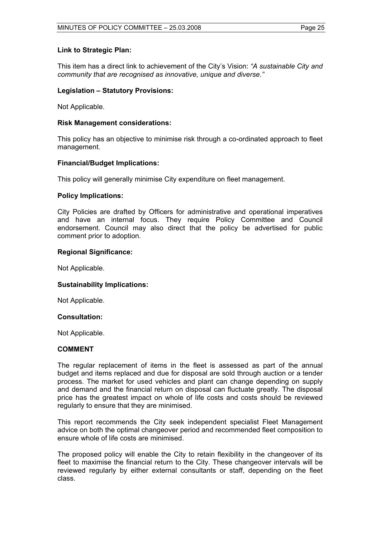#### **Link to Strategic Plan:**

This item has a direct link to achievement of the City's Vision: *"A sustainable City and community that are recognised as innovative, unique and diverse."* 

#### **Legislation – Statutory Provisions:**

Not Applicable.

#### **Risk Management considerations:**

This policy has an objective to minimise risk through a co-ordinated approach to fleet management.

### **Financial/Budget Implications:**

This policy will generally minimise City expenditure on fleet management.

#### **Policy Implications:**

City Policies are drafted by Officers for administrative and operational imperatives and have an internal focus. They require Policy Committee and Council endorsement. Council may also direct that the policy be advertised for public comment prior to adoption.

### **Regional Significance:**

Not Applicable.

#### **Sustainability Implications:**

Not Applicable.

#### **Consultation:**

Not Applicable.

### **COMMENT**

The regular replacement of items in the fleet is assessed as part of the annual budget and items replaced and due for disposal are sold through auction or a tender process. The market for used vehicles and plant can change depending on supply and demand and the financial return on disposal can fluctuate greatly. The disposal price has the greatest impact on whole of life costs and costs should be reviewed regularly to ensure that they are minimised.

This report recommends the City seek independent specialist Fleet Management advice on both the optimal changeover period and recommended fleet composition to ensure whole of life costs are minimised.

The proposed policy will enable the City to retain flexibility in the changeover of its fleet to maximise the financial return to the City. These changeover intervals will be reviewed regularly by either external consultants or staff, depending on the fleet class.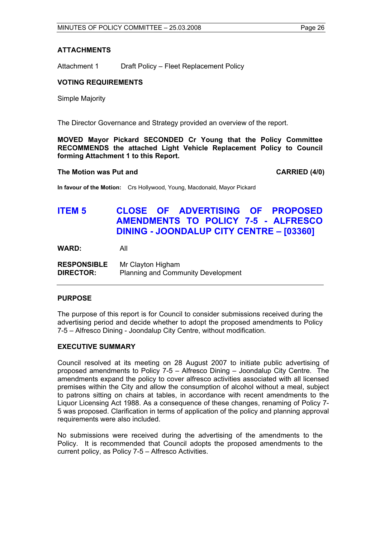## **ATTACHMENTS**

Attachment 1 Draft Policy – Fleet Replacement Policy

# **VOTING REQUIREMENTS**

Simple Majority

The Director Governance and Strategy provided an overview of the report.

**MOVED Mayor Pickard SECONDED Cr Young that the Policy Committee RECOMMENDS the attached Light Vehicle Replacement Policy to Council forming Attachment 1 to this Report.** 

#### The Motion was Put and **CARRIED** (4/0)

**In favour of the Motion:** Crs Hollywood, Young, Macdonald, Mayor Pickard

# **ITEM 5 CLOSE OF ADVERTISING OF PROPOSED AMENDMENTS TO POLICY 7-5 - ALFRESCO DINING - JOONDALUP CITY CENTRE – [03360]**

**WARD:** All

**RESPONSIBLE** Mr Clayton Higham **DIRECTOR:** Planning and Community Development

#### **PURPOSE**

The purpose of this report is for Council to consider submissions received during the advertising period and decide whether to adopt the proposed amendments to Policy 7-5 – Alfresco Dining - Joondalup City Centre, without modification.

## **EXECUTIVE SUMMARY**

Council resolved at its meeting on 28 August 2007 to initiate public advertising of proposed amendments to Policy 7-5 – Alfresco Dining – Joondalup City Centre. The amendments expand the policy to cover alfresco activities associated with all licensed premises within the City and allow the consumption of alcohol without a meal, subject to patrons sitting on chairs at tables, in accordance with recent amendments to the Liquor Licensing Act 1988. As a consequence of these changes, renaming of Policy 7- 5 was proposed. Clarification in terms of application of the policy and planning approval requirements were also included.

No submissions were received during the advertising of the amendments to the Policy. It is recommended that Council adopts the proposed amendments to the current policy, as Policy 7-5 – Alfresco Activities.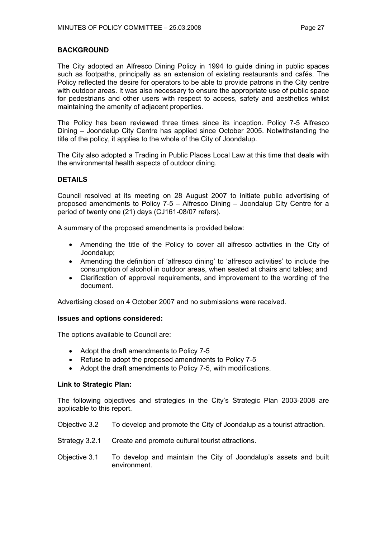#### **BACKGROUND**

The City adopted an Alfresco Dining Policy in 1994 to guide dining in public spaces such as footpaths, principally as an extension of existing restaurants and cafés. The Policy reflected the desire for operators to be able to provide patrons in the City centre with outdoor areas. It was also necessary to ensure the appropriate use of public space for pedestrians and other users with respect to access, safety and aesthetics whilst maintaining the amenity of adjacent properties.

The Policy has been reviewed three times since its inception. Policy 7-5 Alfresco Dining – Joondalup City Centre has applied since October 2005. Notwithstanding the title of the policy, it applies to the whole of the City of Joondalup.

The City also adopted a Trading in Public Places Local Law at this time that deals with the environmental health aspects of outdoor dining.

### **DETAILS**

Council resolved at its meeting on 28 August 2007 to initiate public advertising of proposed amendments to Policy 7-5 – Alfresco Dining – Joondalup City Centre for a period of twenty one (21) days (CJ161-08/07 refers).

A summary of the proposed amendments is provided below:

- Amending the title of the Policy to cover all alfresco activities in the City of Joondalup;
- Amending the definition of 'alfresco dining' to 'alfresco activities' to include the consumption of alcohol in outdoor areas, when seated at chairs and tables; and
- Clarification of approval requirements, and improvement to the wording of the document.

Advertising closed on 4 October 2007 and no submissions were received.

#### **Issues and options considered:**

The options available to Council are:

- Adopt the draft amendments to Policy 7-5
- Refuse to adopt the proposed amendments to Policy 7-5
- Adopt the draft amendments to Policy 7-5, with modifications.

#### **Link to Strategic Plan:**

The following objectives and strategies in the City's Strategic Plan 2003-2008 are applicable to this report.

Objective 3.2 To develop and promote the City of Joondalup as a tourist attraction.

- Strategy 3.2.1 Create and promote cultural tourist attractions.
- Objective 3.1 To develop and maintain the City of Joondalup's assets and built environment.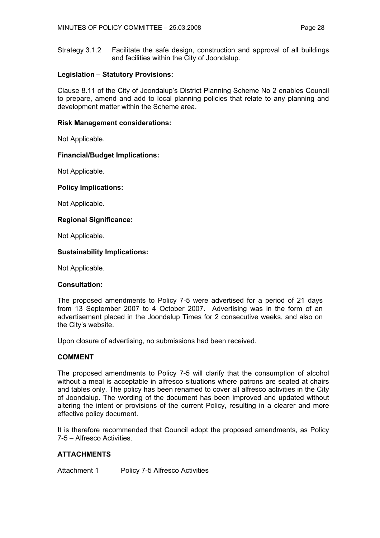Strategy 3.1.2 Facilitate the safe design, construction and approval of all buildings and facilities within the City of Joondalup.

# **Legislation – Statutory Provisions:**

Clause 8.11 of the City of Joondalup's District Planning Scheme No 2 enables Council to prepare, amend and add to local planning policies that relate to any planning and development matter within the Scheme area.

# **Risk Management considerations:**

Not Applicable.

# **Financial/Budget Implications:**

Not Applicable.

# **Policy Implications:**

Not Applicable.

# **Regional Significance:**

Not Applicable.

# **Sustainability Implications:**

Not Applicable.

#### **Consultation:**

The proposed amendments to Policy 7-5 were advertised for a period of 21 days from 13 September 2007 to 4 October 2007. Advertising was in the form of an advertisement placed in the Joondalup Times for 2 consecutive weeks, and also on the City's website.

Upon closure of advertising, no submissions had been received.

# **COMMENT**

The proposed amendments to Policy 7-5 will clarify that the consumption of alcohol without a meal is acceptable in alfresco situations where patrons are seated at chairs and tables only. The policy has been renamed to cover all alfresco activities in the City of Joondalup. The wording of the document has been improved and updated without altering the intent or provisions of the current Policy, resulting in a clearer and more effective policy document.

It is therefore recommended that Council adopt the proposed amendments, as Policy 7-5 – Alfresco Activities.

# **ATTACHMENTS**

Attachment 1 Policy 7-5 Alfresco Activities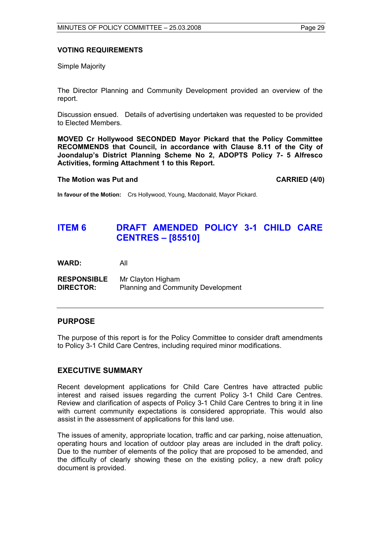# **VOTING REQUIREMENTS**

Simple Majority

The Director Planning and Community Development provided an overview of the report.

Discussion ensued. Details of advertising undertaken was requested to be provided to Elected Members.

**MOVED Cr Hollywood SECONDED Mayor Pickard that the Policy Committee RECOMMENDS that Council, in accordance with Clause 8.11 of the City of Joondalup's District Planning Scheme No 2, ADOPTS Policy 7- 5 Alfresco Activities, forming Attachment 1 to this Report.** 

#### **The Motion was Put and CARRIED (4/0)**

**In favour of the Motion:** Crs Hollywood, Young, Macdonald, Mayor Pickard.

# **ITEM 6 DRAFT AMENDED POLICY 3-1 CHILD CARE CENTRES – [85510]**

**WARD:** All

**RESPONSIBLE** Mr Clayton Higham **DIRECTOR:** Planning and Community Development

# **PURPOSE**

The purpose of this report is for the Policy Committee to consider draft amendments to Policy 3-1 Child Care Centres, including required minor modifications.

# **EXECUTIVE SUMMARY**

Recent development applications for Child Care Centres have attracted public interest and raised issues regarding the current Policy 3-1 Child Care Centres. Review and clarification of aspects of Policy 3-1 Child Care Centres to bring it in line with current community expectations is considered appropriate. This would also assist in the assessment of applications for this land use.

The issues of amenity, appropriate location, traffic and car parking, noise attenuation, operating hours and location of outdoor play areas are included in the draft policy. Due to the number of elements of the policy that are proposed to be amended, and the difficulty of clearly showing these on the existing policy, a new draft policy document is provided.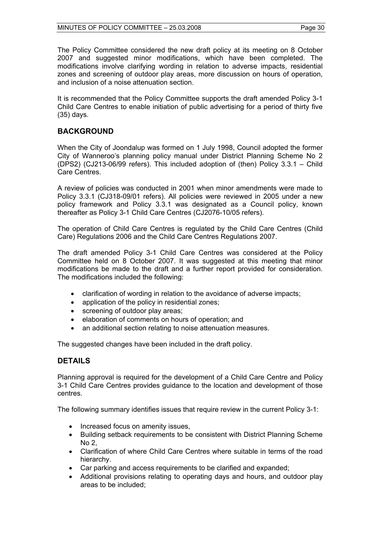The Policy Committee considered the new draft policy at its meeting on 8 October 2007 and suggested minor modifications, which have been completed. The modifications involve clarifying wording in relation to adverse impacts, residential zones and screening of outdoor play areas, more discussion on hours of operation, and inclusion of a noise attenuation section.

It is recommended that the Policy Committee supports the draft amended Policy 3-1 Child Care Centres to enable initiation of public advertising for a period of thirty five (35) days.

# **BACKGROUND**

When the City of Joondalup was formed on 1 July 1998, Council adopted the former City of Wanneroo's planning policy manual under District Planning Scheme No 2 (DPS2) (CJ213-06/99 refers). This included adoption of (then) Policy 3.3.1 – Child Care Centres.

A review of policies was conducted in 2001 when minor amendments were made to Policy 3.3.1 (CJ318-09/01 refers). All policies were reviewed in 2005 under a new policy framework and Policy 3.3.1 was designated as a Council policy, known thereafter as Policy 3-1 Child Care Centres (CJ2076-10/05 refers).

The operation of Child Care Centres is regulated by the Child Care Centres (Child Care) Regulations 2006 and the Child Care Centres Regulations 2007.

The draft amended Policy 3-1 Child Care Centres was considered at the Policy Committee held on 8 October 2007. It was suggested at this meeting that minor modifications be made to the draft and a further report provided for consideration. The modifications included the following:

- clarification of wording in relation to the avoidance of adverse impacts;
- application of the policy in residential zones;
- screening of outdoor play areas;
- elaboration of comments on hours of operation; and
- an additional section relating to noise attenuation measures.

The suggested changes have been included in the draft policy.

# **DETAILS**

Planning approval is required for the development of a Child Care Centre and Policy 3-1 Child Care Centres provides guidance to the location and development of those centres.

The following summary identifies issues that require review in the current Policy 3-1:

- Increased focus on amenity issues,
- Building setback requirements to be consistent with District Planning Scheme No 2,
- Clarification of where Child Care Centres where suitable in terms of the road hierarchy.
- Car parking and access requirements to be clarified and expanded;
- Additional provisions relating to operating days and hours, and outdoor play areas to be included;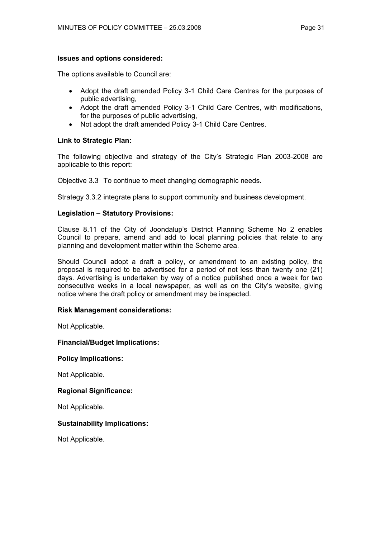### **Issues and options considered:**

The options available to Council are:

- Adopt the draft amended Policy 3-1 Child Care Centres for the purposes of public advertising,
- Adopt the draft amended Policy 3-1 Child Care Centres, with modifications, for the purposes of public advertising,
- Not adopt the draft amended Policy 3-1 Child Care Centres.

# **Link to Strategic Plan:**

The following objective and strategy of the City's Strategic Plan 2003-2008 are applicable to this report:

Objective 3.3 To continue to meet changing demographic needs.

Strategy 3.3.2 integrate plans to support community and business development.

# **Legislation – Statutory Provisions:**

Clause 8.11 of the City of Joondalup's District Planning Scheme No 2 enables Council to prepare, amend and add to local planning policies that relate to any planning and development matter within the Scheme area.

Should Council adopt a draft a policy, or amendment to an existing policy, the proposal is required to be advertised for a period of not less than twenty one (21) days. Advertising is undertaken by way of a notice published once a week for two consecutive weeks in a local newspaper, as well as on the City's website, giving notice where the draft policy or amendment may be inspected.

# **Risk Management considerations:**

Not Applicable.

# **Financial/Budget Implications:**

#### **Policy Implications:**

Not Applicable.

#### **Regional Significance:**

Not Applicable.

# **Sustainability Implications:**

Not Applicable.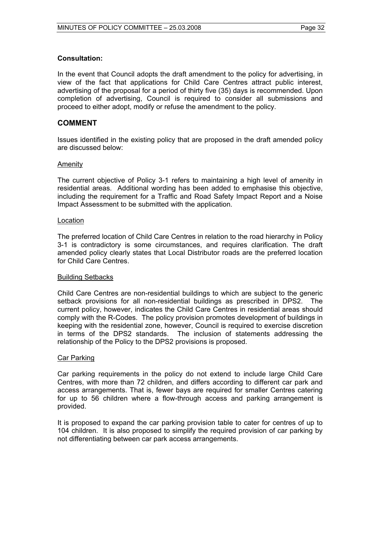# **Consultation:**

In the event that Council adopts the draft amendment to the policy for advertising, in view of the fact that applications for Child Care Centres attract public interest, advertising of the proposal for a period of thirty five (35) days is recommended. Upon completion of advertising, Council is required to consider all submissions and proceed to either adopt, modify or refuse the amendment to the policy.

# **COMMENT**

Issues identified in the existing policy that are proposed in the draft amended policy are discussed below:

#### Amenity

The current objective of Policy 3-1 refers to maintaining a high level of amenity in residential areas. Additional wording has been added to emphasise this objective, including the requirement for a Traffic and Road Safety Impact Report and a Noise Impact Assessment to be submitted with the application.

### Location

The preferred location of Child Care Centres in relation to the road hierarchy in Policy 3-1 is contradictory is some circumstances, and requires clarification. The draft amended policy clearly states that Local Distributor roads are the preferred location for Child Care Centres.

#### Building Setbacks

Child Care Centres are non-residential buildings to which are subject to the generic setback provisions for all non-residential buildings as prescribed in DPS2. The current policy, however, indicates the Child Care Centres in residential areas should comply with the R-Codes. The policy provision promotes development of buildings in keeping with the residential zone, however, Council is required to exercise discretion in terms of the DPS2 standards. The inclusion of statements addressing the relationship of the Policy to the DPS2 provisions is proposed.

#### Car Parking

Car parking requirements in the policy do not extend to include large Child Care Centres, with more than 72 children, and differs according to different car park and access arrangements. That is, fewer bays are required for smaller Centres catering for up to 56 children where a flow-through access and parking arrangement is provided.

It is proposed to expand the car parking provision table to cater for centres of up to 104 children. It is also proposed to simplify the required provision of car parking by not differentiating between car park access arrangements.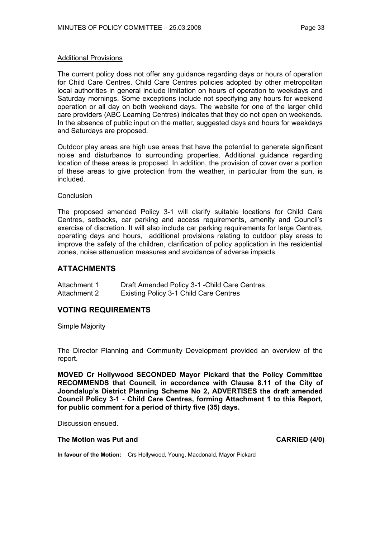# Additional Provisions

The current policy does not offer any guidance regarding days or hours of operation for Child Care Centres. Child Care Centres policies adopted by other metropolitan local authorities in general include limitation on hours of operation to weekdays and Saturday mornings. Some exceptions include not specifying any hours for weekend operation or all day on both weekend days. The website for one of the larger child care providers (ABC Learning Centres) indicates that they do not open on weekends. In the absence of public input on the matter, suggested days and hours for weekdays and Saturdays are proposed.

Outdoor play areas are high use areas that have the potential to generate significant noise and disturbance to surrounding properties. Additional guidance regarding location of these areas is proposed. In addition, the provision of cover over a portion of these areas to give protection from the weather, in particular from the sun, is included.

#### **Conclusion**

The proposed amended Policy 3-1 will clarify suitable locations for Child Care Centres, setbacks, car parking and access requirements, amenity and Council's exercise of discretion. It will also include car parking requirements for large Centres, operating days and hours, additional provisions relating to outdoor play areas to improve the safety of the children, clarification of policy application in the residential zones, noise attenuation measures and avoidance of adverse impacts.

# **ATTACHMENTS**

| Attachment 1 | Draft Amended Policy 3-1 - Child Care Centres |
|--------------|-----------------------------------------------|
| Attachment 2 | <b>Existing Policy 3-1 Child Care Centres</b> |

# **VOTING REQUIREMENTS**

Simple Majority

The Director Planning and Community Development provided an overview of the report.

**MOVED Cr Hollywood SECONDED Mayor Pickard that the Policy Committee RECOMMENDS that Council, in accordance with Clause 8.11 of the City of Joondalup's District Planning Scheme No 2, ADVERTISES the draft amended Council Policy 3-1 - Child Care Centres, forming Attachment 1 to this Report, for public comment for a period of thirty five (35) days.** 

Discussion ensued.

#### **The Motion was Put and CARRIED (4/0)**

**In favour of the Motion:** Crs Hollywood, Young, Macdonald, Mayor Pickard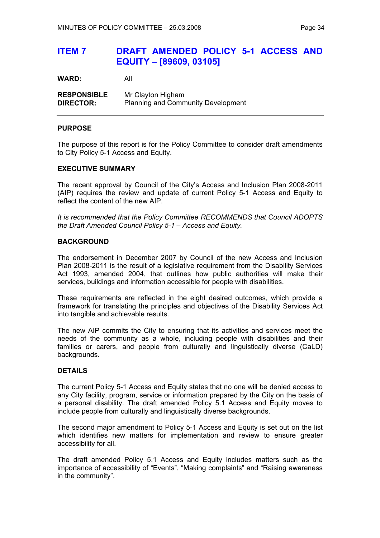# **ITEM 7 DRAFT AMENDED POLICY 5-1 ACCESS AND EQUITY – [89609, 03105]**

**WARD:** All

**RESPONSIBLE** Mr Clayton Higham **DIRECTOR:** Planning and Community Development

### **PURPOSE**

The purpose of this report is for the Policy Committee to consider draft amendments to City Policy 5-1 Access and Equity.

#### **EXECUTIVE SUMMARY**

The recent approval by Council of the City's Access and Inclusion Plan 2008-2011 (AIP) requires the review and update of current Policy 5-1 Access and Equity to reflect the content of the new AIP.

*It is recommended that the Policy Committee RECOMMENDS that Council ADOPTS the Draft Amended Council Policy 5-1 – Access and Equity.* 

## **BACKGROUND**

The endorsement in December 2007 by Council of the new Access and Inclusion Plan 2008-2011 is the result of a legislative requirement from the Disability Services Act 1993, amended 2004, that outlines how public authorities will make their services, buildings and information accessible for people with disabilities.

These requirements are reflected in the eight desired outcomes, which provide a framework for translating the principles and objectives of the Disability Services Act into tangible and achievable results.

The new AIP commits the City to ensuring that its activities and services meet the needs of the community as a whole, including people with disabilities and their families or carers, and people from culturally and linguistically diverse (CaLD) backgrounds.

#### **DETAILS**

The current Policy 5-1 Access and Equity states that no one will be denied access to any City facility, program, service or information prepared by the City on the basis of a personal disability. The draft amended Policy 5.1 Access and Equity moves to include people from culturally and linguistically diverse backgrounds.

The second major amendment to Policy 5-1 Access and Equity is set out on the list which identifies new matters for implementation and review to ensure greater accessibility for all.

The draft amended Policy 5.1 Access and Equity includes matters such as the importance of accessibility of "Events", "Making complaints" and "Raising awareness in the community".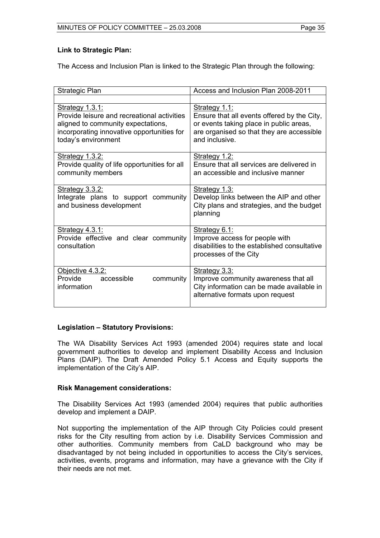# **Link to Strategic Plan:**

The Access and Inclusion Plan is linked to the Strategic Plan through the following:

| Strategic Plan                                                                                                                                                                   | Access and Inclusion Plan 2008-2011                                                                                                                                    |
|----------------------------------------------------------------------------------------------------------------------------------------------------------------------------------|------------------------------------------------------------------------------------------------------------------------------------------------------------------------|
|                                                                                                                                                                                  |                                                                                                                                                                        |
| <b>Strategy 1.3.1:</b><br>Provide leisure and recreational activities<br>aligned to community expectations,<br>incorporating innovative opportunities for<br>today's environment | Strategy 1.1:<br>Ensure that all events offered by the City,<br>or events taking place in public areas,<br>are organised so that they are accessible<br>and inclusive. |
| <u>Strategy 1.3.2:</u><br>Provide quality of life opportunities for all<br>community members                                                                                     | Strategy 1.2:<br>Ensure that all services are delivered in<br>an accessible and inclusive manner                                                                       |
| <b>Strategy 3.3.2:</b><br>Integrate plans to support community<br>and business development                                                                                       | Strategy 1.3:<br>Develop links between the AIP and other<br>City plans and strategies, and the budget<br>planning                                                      |
| Strategy 4.3.1:<br>Provide effective and clear community<br>consultation                                                                                                         | Strategy 6.1:<br>Improve access for people with<br>disabilities to the established consultative<br>processes of the City                                               |
| Objective 4.3.2:<br>Provide<br>accessible<br>community<br>information                                                                                                            | Strategy 3.3:<br>Improve community awareness that all<br>City information can be made available in<br>alternative formats upon request                                 |

# **Legislation – Statutory Provisions:**

The WA Disability Services Act 1993 (amended 2004) requires state and local government authorities to develop and implement Disability Access and Inclusion Plans (DAIP). The Draft Amended Policy 5.1 Access and Equity supports the implementation of the City's AIP.

# **Risk Management considerations:**

The Disability Services Act 1993 (amended 2004) requires that public authorities develop and implement a DAIP.

Not supporting the implementation of the AIP through City Policies could present risks for the City resulting from action by i.e. Disability Services Commission and other authorities. Community members from CaLD background who may be disadvantaged by not being included in opportunities to access the City's services, activities, events, programs and information, may have a grievance with the City if their needs are not met.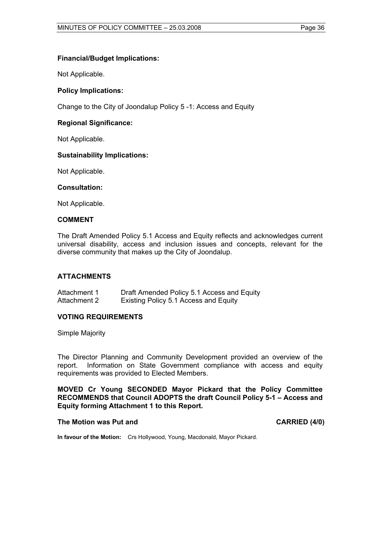# **Financial/Budget Implications:**

Not Applicable.

# **Policy Implications:**

Change to the City of Joondalup Policy 5 -1: Access and Equity

# **Regional Significance:**

Not Applicable.

### **Sustainability Implications:**

Not Applicable.

#### **Consultation:**

Not Applicable.

#### **COMMENT**

The Draft Amended Policy 5.1 Access and Equity reflects and acknowledges current universal disability, access and inclusion issues and concepts, relevant for the diverse community that makes up the City of Joondalup.

## **ATTACHMENTS**

Attachment 1 Draft Amended Policy 5.1 Access and Equity Attachment 2 Existing Policy 5.1 Access and Equity

#### **VOTING REQUIREMENTS**

Simple Majority

The Director Planning and Community Development provided an overview of the report. Information on State Government compliance with access and equity requirements was provided to Elected Members.

**MOVED Cr Young SECONDED Mayor Pickard that the Policy Committee RECOMMENDS that Council ADOPTS the draft Council Policy 5-1 – Access and Equity forming Attachment 1 to this Report.** 

#### The Motion was Put and **CARRIED** (4/0)

**In favour of the Motion:** Crs Hollywood, Young, Macdonald, Mayor Pickard.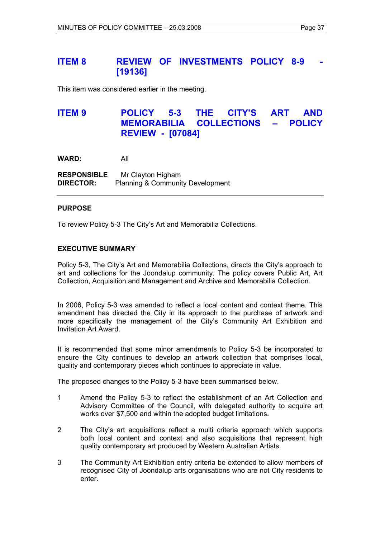# **ITEM 8 REVIEW OF INVESTMENTS POLICY 8-9 [19136]**

This item was considered earlier in the meeting.

# **ITEM 9 POLICY 5-3 THE CITY'S ART AND MEMORABILIA COLLECTIONS – POLICY REVIEW - [07084]**

**WARD:** All

**RESPONSIBLE** Mr Clayton Higham **DIRECTOR:** Planning & Community Development

### **PURPOSE**

To review Policy 5-3 The City's Art and Memorabilia Collections.

# **EXECUTIVE SUMMARY**

Policy 5-3, The City's Art and Memorabilia Collections, directs the City's approach to art and collections for the Joondalup community. The policy covers Public Art, Art Collection, Acquisition and Management and Archive and Memorabilia Collection.

In 2006, Policy 5-3 was amended to reflect a local content and context theme. This amendment has directed the City in its approach to the purchase of artwork and more specifically the management of the City's Community Art Exhibition and Invitation Art Award.

It is recommended that some minor amendments to Policy 5-3 be incorporated to ensure the City continues to develop an artwork collection that comprises local, quality and contemporary pieces which continues to appreciate in value.

The proposed changes to the Policy 5-3 have been summarised below.

- 1 Amend the Policy 5-3 to reflect the establishment of an Art Collection and Advisory Committee of the Council, with delegated authority to acquire art works over \$7,500 and within the adopted budget limitations.
- 2 The City's art acquisitions reflect a multi criteria approach which supports both local content and context and also acquisitions that represent high quality contemporary art produced by Western Australian Artists.
- 3 The Community Art Exhibition entry criteria be extended to allow members of recognised City of Joondalup arts organisations who are not City residents to enter.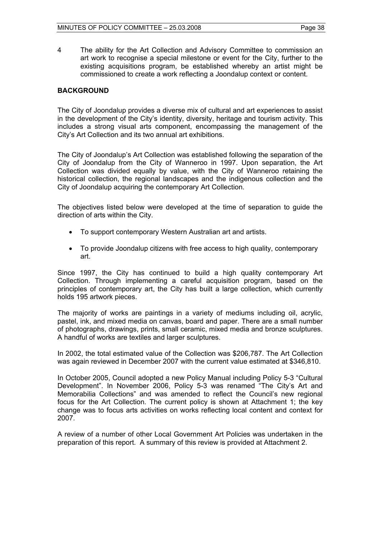4 The ability for the Art Collection and Advisory Committee to commission an art work to recognise a special milestone or event for the City, further to the existing acquisitions program, be established whereby an artist might be commissioned to create a work reflecting a Joondalup context or content.

### **BACKGROUND**

The City of Joondalup provides a diverse mix of cultural and art experiences to assist in the development of the City's identity, diversity, heritage and tourism activity. This includes a strong visual arts component, encompassing the management of the City's Art Collection and its two annual art exhibitions.

The City of Joondalup's Art Collection was established following the separation of the City of Joondalup from the City of Wanneroo in 1997. Upon separation, the Art Collection was divided equally by value, with the City of Wanneroo retaining the historical collection, the regional landscapes and the indigenous collection and the City of Joondalup acquiring the contemporary Art Collection.

The objectives listed below were developed at the time of separation to guide the direction of arts within the City.

- To support contemporary Western Australian art and artists.
- To provide Joondalup citizens with free access to high quality, contemporary art.

Since 1997, the City has continued to build a high quality contemporary Art Collection. Through implementing a careful acquisition program, based on the principles of contemporary art, the City has built a large collection, which currently holds 195 artwork pieces.

The majority of works are paintings in a variety of mediums including oil, acrylic, pastel, ink, and mixed media on canvas, board and paper. There are a small number of photographs, drawings, prints, small ceramic, mixed media and bronze sculptures. A handful of works are textiles and larger sculptures.

In 2002, the total estimated value of the Collection was \$206,787. The Art Collection was again reviewed in December 2007 with the current value estimated at \$346,810.

In October 2005, Council adopted a new Policy Manual including Policy 5-3 "Cultural Development". In November 2006, Policy 5-3 was renamed "The City's Art and Memorabilia Collections" and was amended to reflect the Council's new regional focus for the Art Collection. The current policy is shown at Attachment 1; the key change was to focus arts activities on works reflecting local content and context for 2007.

A review of a number of other Local Government Art Policies was undertaken in the preparation of this report. A summary of this review is provided at Attachment 2.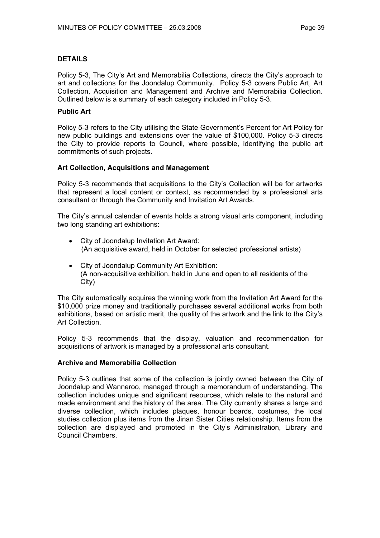# **DETAILS**

Policy 5-3, The City's Art and Memorabilia Collections, directs the City's approach to art and collections for the Joondalup Community. Policy 5-3 covers Public Art, Art Collection, Acquisition and Management and Archive and Memorabilia Collection. Outlined below is a summary of each category included in Policy 5-3.

# **Public Art**

Policy 5-3 refers to the City utilising the State Government's Percent for Art Policy for new public buildings and extensions over the value of \$100,000. Policy 5-3 directs the City to provide reports to Council, where possible, identifying the public art commitments of such projects.

# **Art Collection, Acquisitions and Management**

Policy 5-3 recommends that acquisitions to the City's Collection will be for artworks that represent a local content or context, as recommended by a professional arts consultant or through the Community and Invitation Art Awards.

The City's annual calendar of events holds a strong visual arts component, including two long standing art exhibitions:

- City of Joondalup Invitation Art Award: (An acquisitive award, held in October for selected professional artists)
- City of Joondalup Community Art Exhibition: (A non-acquisitive exhibition, held in June and open to all residents of the City)

The City automatically acquires the winning work from the Invitation Art Award for the \$10,000 prize money and traditionally purchases several additional works from both exhibitions, based on artistic merit, the quality of the artwork and the link to the City's Art Collection.

Policy 5-3 recommends that the display, valuation and recommendation for acquisitions of artwork is managed by a professional arts consultant.

# **Archive and Memorabilia Collection**

Policy 5-3 outlines that some of the collection is jointly owned between the City of Joondalup and Wanneroo, managed through a memorandum of understanding. The collection includes unique and significant resources, which relate to the natural and made environment and the history of the area. The City currently shares a large and diverse collection, which includes plaques, honour boards, costumes, the local studies collection plus items from the Jinan Sister Cities relationship. Items from the collection are displayed and promoted in the City's Administration, Library and Council Chambers.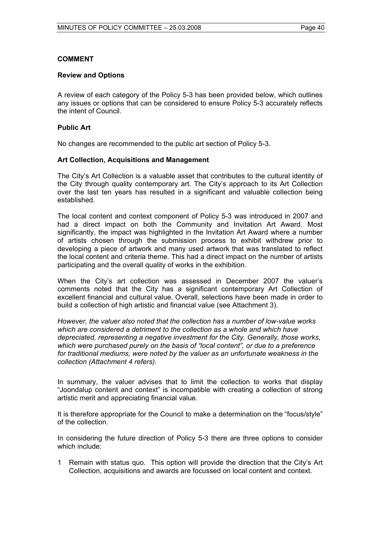# **COMMENT**

### **Review and Options**

A review of each category of the Policy 5-3 has been provided below, which outlines any issues or options that can be considered to ensure Policy 5-3 accurately reflects the intent of Council.

### **Public Art**

No changes are recommended to the public art section of Policy 5-3.

### **Art Collection, Acquisitions and Management**

The City's Art Collection is a valuable asset that contributes to the cultural identity of the City through quality contemporary art. The City's approach to its Art Collection over the last ten years has resulted in a significant and valuable collection being established.

The local content and context component of Policy 5-3 was introduced in 2007 and had a direct impact on both the Community and Invitation Art Award. Most significantly, the impact was highlighted in the Invitation Art Award where a number of artists chosen through the submission process to exhibit withdrew prior to developing a piece of artwork and many used artwork that was translated to reflect the local content and criteria theme. This had a direct impact on the number of artists participating and the overall quality of works in the exhibition.

When the City's art collection was assessed in December 2007 the valuer's comments noted that the City has a significant contemporary Art Collection of excellent financial and cultural value. Overall, selections have been made in order to build a collection of high artistic and financial value (see Attachment 3).

*However, the valuer also noted that the collection has a number of low-value works which are considered a detriment to the collection as a whole and which have depreciated, representing a negative investment for the City. Generally, those works, which were purchased purely on the basis of "local content", or due to a preference for traditional mediums, were noted by the valuer as an unfortunate weakness in the collection (Attachment 4 refers).* 

In summary, the valuer advises that to limit the collection to works that display "Joondalup content and context" is incompatible with creating a collection of strong artistic merit and appreciating financial value.

It is therefore appropriate for the Council to make a determination on the "focus/style" of the collection.

In considering the future direction of Policy 5-3 there are three options to consider which include:

1 Remain with status quo. This option will provide the direction that the City's Art Collection, acquisitions and awards are focussed on local content and context.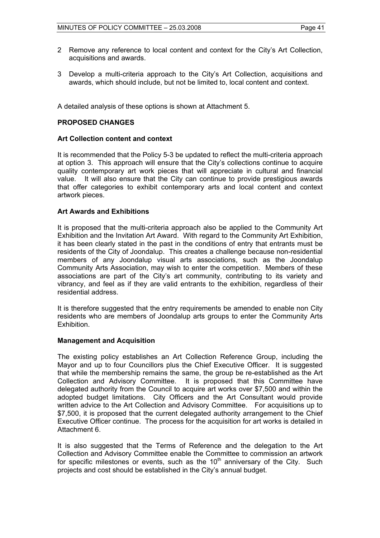- 2 Remove any reference to local content and context for the City's Art Collection, acquisitions and awards.
- 3 Develop a multi-criteria approach to the City's Art Collection, acquisitions and awards, which should include, but not be limited to, local content and context.

A detailed analysis of these options is shown at Attachment 5.

# **PROPOSED CHANGES**

### **Art Collection content and context**

It is recommended that the Policy 5-3 be updated to reflect the multi-criteria approach at option 3. This approach will ensure that the City's collections continue to acquire quality contemporary art work pieces that will appreciate in cultural and financial value. It will also ensure that the City can continue to provide prestigious awards that offer categories to exhibit contemporary arts and local content and context artwork pieces.

### **Art Awards and Exhibitions**

It is proposed that the multi-criteria approach also be applied to the Community Art Exhibition and the Invitation Art Award. With regard to the Community Art Exhibition, it has been clearly stated in the past in the conditions of entry that entrants must be residents of the City of Joondalup. This creates a challenge because non-residential members of any Joondalup visual arts associations, such as the Joondalup Community Arts Association, may wish to enter the competition. Members of these associations are part of the City's art community, contributing to its variety and vibrancy, and feel as if they are valid entrants to the exhibition, regardless of their residential address.

It is therefore suggested that the entry requirements be amended to enable non City residents who are members of Joondalup arts groups to enter the Community Arts Exhibition.

#### **Management and Acquisition**

The existing policy establishes an Art Collection Reference Group, including the Mayor and up to four Councillors plus the Chief Executive Officer. It is suggested that while the membership remains the same, the group be re-established as the Art Collection and Advisory Committee. It is proposed that this Committee have delegated authority from the Council to acquire art works over \$7,500 and within the adopted budget limitations. City Officers and the Art Consultant would provide written advice to the Art Collection and Advisory Committee. For acquisitions up to \$7,500, it is proposed that the current delegated authority arrangement to the Chief Executive Officer continue. The process for the acquisition for art works is detailed in Attachment 6.

It is also suggested that the Terms of Reference and the delegation to the Art Collection and Advisory Committee enable the Committee to commission an artwork for specific milestones or events, such as the  $10<sup>th</sup>$  anniversary of the City. Such projects and cost should be established in the City's annual budget.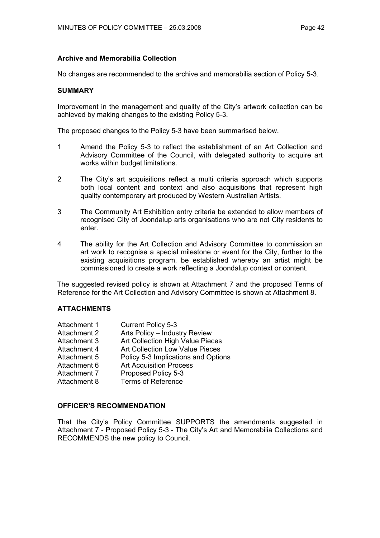# **Archive and Memorabilia Collection**

No changes are recommended to the archive and memorabilia section of Policy 5-3.

### **SUMMARY**

Improvement in the management and quality of the City's artwork collection can be achieved by making changes to the existing Policy 5-3.

The proposed changes to the Policy 5-3 have been summarised below.

- 1 Amend the Policy 5-3 to reflect the establishment of an Art Collection and Advisory Committee of the Council, with delegated authority to acquire art works within budget limitations.
- 2 The City's art acquisitions reflect a multi criteria approach which supports both local content and context and also acquisitions that represent high quality contemporary art produced by Western Australian Artists.
- 3 The Community Art Exhibition entry criteria be extended to allow members of recognised City of Joondalup arts organisations who are not City residents to enter.
- 4 The ability for the Art Collection and Advisory Committee to commission an art work to recognise a special milestone or event for the City, further to the existing acquisitions program, be established whereby an artist might be commissioned to create a work reflecting a Joondalup context or content.

The suggested revised policy is shown at Attachment 7 and the proposed Terms of Reference for the Art Collection and Advisory Committee is shown at Attachment 8.

# **ATTACHMENTS**

| Attachment 1        | <b>Current Policy 5-3</b>           |
|---------------------|-------------------------------------|
| <b>Attachment 2</b> | Arts Policy - Industry Review       |
| Attachment 3        | Art Collection High Value Pieces    |
| Attachment 4        | Art Collection Low Value Pieces     |
| Attachment 5        | Policy 5-3 Implications and Options |
| Attachment 6        | <b>Art Acquisition Process</b>      |
| Attachment 7        | Proposed Policy 5-3                 |
| Attachment 8        | <b>Terms of Reference</b>           |

# **OFFICER'S RECOMMENDATION**

That the City's Policy Committee SUPPORTS the amendments suggested in Attachment 7 - Proposed Policy 5-3 - The City's Art and Memorabilia Collections and RECOMMENDS the new policy to Council.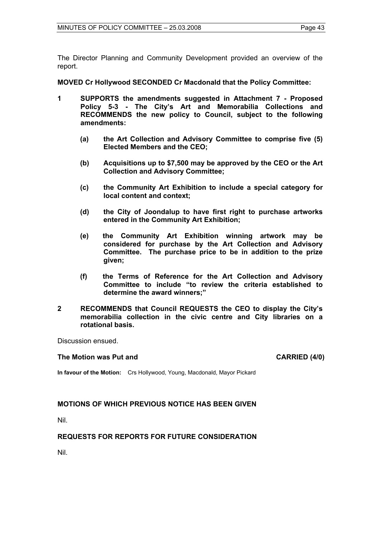The Director Planning and Community Development provided an overview of the report.

**MOVED Cr Hollywood SECONDED Cr Macdonald that the Policy Committee:** 

- **1 SUPPORTS the amendments suggested in Attachment 7 Proposed Policy 5-3 - The City's Art and Memorabilia Collections and RECOMMENDS the new policy to Council, subject to the following amendments:** 
	- **(a) the Art Collection and Advisory Committee to comprise five (5) Elected Members and the CEO;**
	- **(b) Acquisitions up to \$7,500 may be approved by the CEO or the Art Collection and Advisory Committee;**
	- **(c) the Community Art Exhibition to include a special category for local content and context;**
	- **(d) the City of Joondalup to have first right to purchase artworks entered in the Community Art Exhibition;**
	- **(e) the Community Art Exhibition winning artwork may be considered for purchase by the Art Collection and Advisory Committee. The purchase price to be in addition to the prize given;**
	- **(f) the Terms of Reference for the Art Collection and Advisory Committee to include "to review the criteria established to determine the award winners;"**
- **2 RECOMMENDS that Council REQUESTS the CEO to display the City's memorabilia collection in the civic centre and City libraries on a rotational basis.**

Discussion ensued.

#### **The Motion was Put and CARRIED (4/0) CARRIED (4/0)**

**In favour of the Motion:** Crs Hollywood, Young, Macdonald, Mayor Pickard

# **MOTIONS OF WHICH PREVIOUS NOTICE HAS BEEN GIVEN**

Nil.

# **REQUESTS FOR REPORTS FOR FUTURE CONSIDERATION**

Nil.